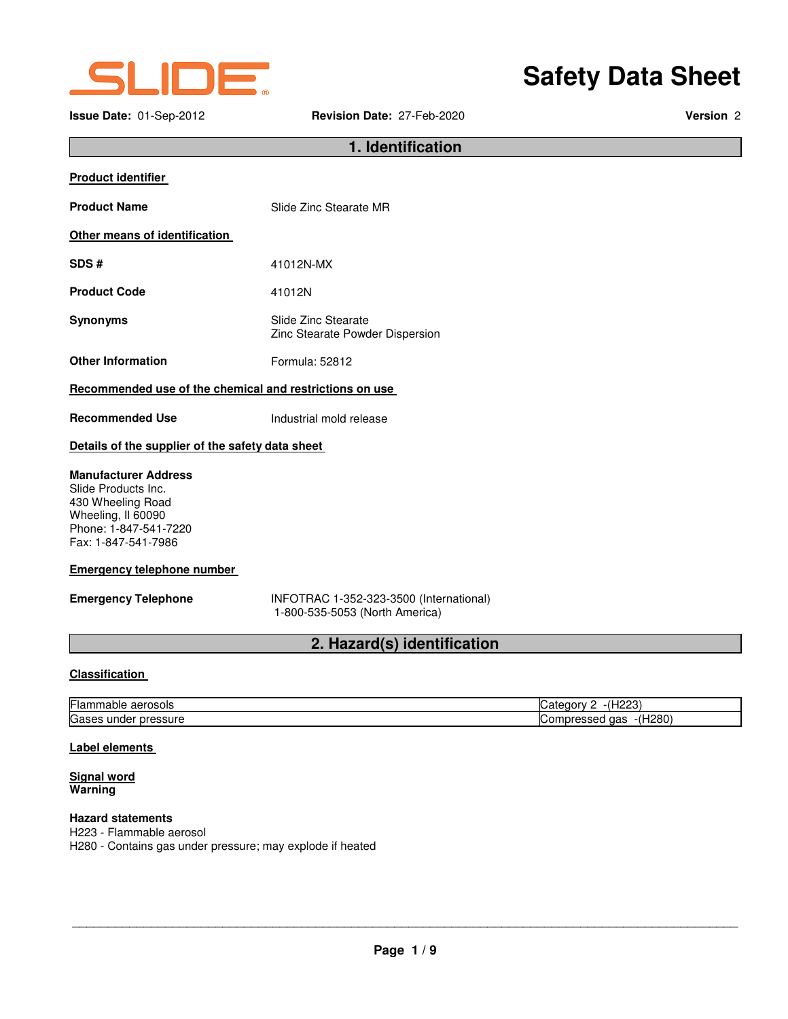

### **Issue Date:** 01-Sep-2012 **Revision Date:** 27-Feb-2020 **Version** 2

# **Safety Data Sheet**

### **1. Identification**

| <b>Product identifier</b>                               |                                                        |  |
|---------------------------------------------------------|--------------------------------------------------------|--|
| <b>Product Name</b>                                     | Slide Zinc Stearate MR                                 |  |
| Other means of identification                           |                                                        |  |
| SDS#                                                    | 41012N-MX                                              |  |
| <b>Product Code</b>                                     | 41012N                                                 |  |
| <b>Synonyms</b>                                         | Slide Zinc Stearate<br>Zinc Stearate Powder Dispersion |  |
| <b>Other Information</b>                                | Formula: 52812                                         |  |
| Recommended use of the chemical and restrictions on use |                                                        |  |

**Recommended Use Industrial mold release** 

## **Details of the supplier of the safety data sheet**

### **Manufacturer Address**

Slide Products Inc. 430 Wheeling Road Wheeling, Il 60090 Phone: 1-847-541-7220 Fax: 1-847-541-7986

### **Emergency telephone number**

**Emergency Telephone** INFOTRAC 1-352-323-3500 (International) 1-800-535-5053 (North America)

### **2. Hazard(s) identification**

### **Classification**

| ⊢<br>aerosols<br>⊩lar<br>iable          | 0.000<br>----<br>. .<br>$\pm 10W$<br>и<br>ں ے ا     |
|-----------------------------------------|-----------------------------------------------------|
| Gaso<br>ressure<br>.org<br>unaer<br>محب | -(H280<br>. gas<br>ressed<br>. IDIF<br>◡<br>__<br>ີ |

### **Label elements**

#### **Signal word Warning**

#### **Hazard statements**  H223 - Flammable aerosol

H280 - Contains gas under pressure; may explode if heated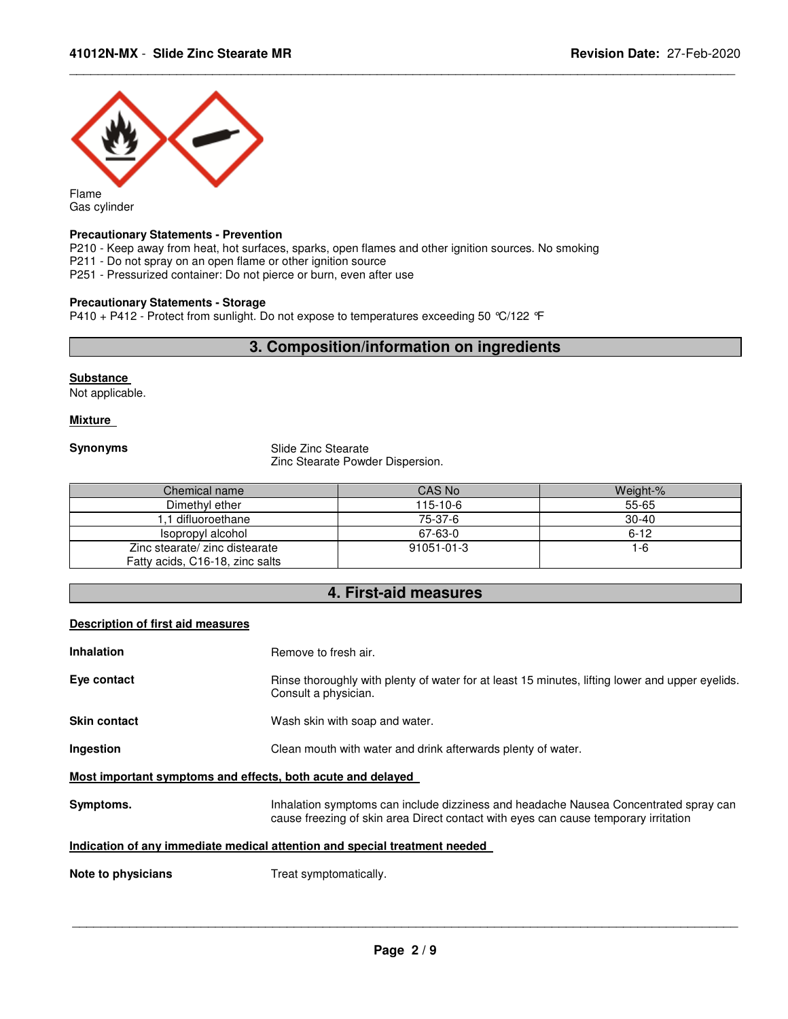

Gas cylinder

### **Precautionary Statements - Prevention**

P210 - Keep away from heat, hot surfaces, sparks, open flames and other ignition sources. No smoking

P211 - Do not spray on an open flame or other ignition source

P251 - Pressurized container: Do not pierce or burn, even after use

### **Precautionary Statements - Storage**

P410 + P412 - Protect from sunlight. Do not expose to temperatures exceeding 50 °C/122 °F

### **3. Composition/information on ingredients**

\_\_\_\_\_\_\_\_\_\_\_\_\_\_\_\_\_\_\_\_\_\_\_\_\_\_\_\_\_\_\_\_\_\_\_\_\_\_\_\_\_\_\_\_\_\_\_\_\_\_\_\_\_\_\_\_\_\_\_\_\_\_\_\_\_\_\_\_\_\_\_\_\_\_\_\_\_\_\_\_\_\_\_\_\_\_\_\_\_\_\_\_\_

### **Substance**

Not applicable.

### **Mixture**

**Synonyms** Slide Zinc Stearate Zinc Stearate Powder Dispersion.

| Chemical name                   | CAS No     | Weight-% |
|---------------------------------|------------|----------|
| Dimethyl ether                  | $115-10-6$ | 55-65    |
| 1.1 difluoroethane              | 75-37-6    | $30-40$  |
| Isopropyl alcohol               | 67-63-0    | $6 - 12$ |
| Zinc stearate/ zinc distearate  | 91051-01-3 | 1-6      |
| Fatty acids, C16-18, zinc salts |            |          |

### **4. First-aid measures**

### **Description of first aid measures**

| <b>Inhalation</b>                                                          | Remove to fresh air.                                                                                                                                                        |  |
|----------------------------------------------------------------------------|-----------------------------------------------------------------------------------------------------------------------------------------------------------------------------|--|
| Eye contact                                                                | Rinse thoroughly with plenty of water for at least 15 minutes, lifting lower and upper eyelids.<br>Consult a physician.                                                     |  |
| <b>Skin contact</b>                                                        | Wash skin with soap and water.                                                                                                                                              |  |
| <b>Ingestion</b>                                                           | Clean mouth with water and drink afterwards plenty of water.                                                                                                                |  |
| Most important symptoms and effects, both acute and delayed                |                                                                                                                                                                             |  |
| Symptoms.                                                                  | Inhalation symptoms can include dizziness and headache Nausea Concentrated spray can<br>cause freezing of skin area Direct contact with eyes can cause temporary irritation |  |
| Indication of any immediate medical attention and special treatment needed |                                                                                                                                                                             |  |
| Note to physicians                                                         | Treat symptomatically.                                                                                                                                                      |  |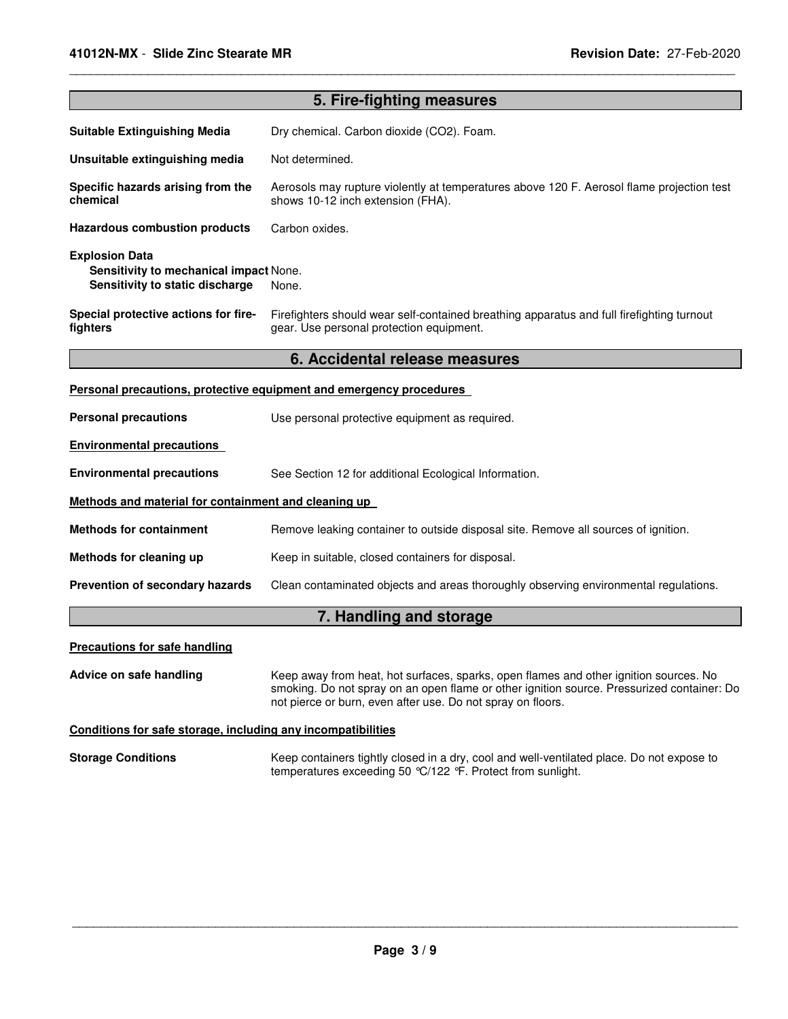| 5. Fire-fighting measures                                                                          |                                                                                                                                                                                                                                                    |  |  |
|----------------------------------------------------------------------------------------------------|----------------------------------------------------------------------------------------------------------------------------------------------------------------------------------------------------------------------------------------------------|--|--|
| <b>Suitable Extinguishing Media</b>                                                                | Dry chemical. Carbon dioxide (CO2). Foam.                                                                                                                                                                                                          |  |  |
| Unsuitable extinguishing media                                                                     | Not determined.                                                                                                                                                                                                                                    |  |  |
| Specific hazards arising from the<br>chemical                                                      | Aerosols may rupture violently at temperatures above 120 F. Aerosol flame projection test<br>shows 10-12 inch extension (FHA).                                                                                                                     |  |  |
| <b>Hazardous combustion products</b>                                                               | Carbon oxides.                                                                                                                                                                                                                                     |  |  |
| <b>Explosion Data</b><br>Sensitivity to mechanical impact None.<br>Sensitivity to static discharge | None.                                                                                                                                                                                                                                              |  |  |
| Special protective actions for fire-<br>fighters                                                   | Firefighters should wear self-contained breathing apparatus and full firefighting turnout<br>gear. Use personal protection equipment.                                                                                                              |  |  |
|                                                                                                    | 6. Accidental release measures                                                                                                                                                                                                                     |  |  |
|                                                                                                    | Personal precautions, protective equipment and emergency procedures                                                                                                                                                                                |  |  |
| <b>Personal precautions</b>                                                                        | Use personal protective equipment as required.                                                                                                                                                                                                     |  |  |
| <b>Environmental precautions</b>                                                                   |                                                                                                                                                                                                                                                    |  |  |
| <b>Environmental precautions</b>                                                                   | See Section 12 for additional Ecological Information.                                                                                                                                                                                              |  |  |
| Methods and material for containment and cleaning up                                               |                                                                                                                                                                                                                                                    |  |  |
| <b>Methods for containment</b>                                                                     | Remove leaking container to outside disposal site. Remove all sources of ignition.                                                                                                                                                                 |  |  |
| Methods for cleaning up                                                                            | Keep in suitable, closed containers for disposal.                                                                                                                                                                                                  |  |  |
| Prevention of secondary hazards                                                                    | Clean contaminated objects and areas thoroughly observing environmental regulations.                                                                                                                                                               |  |  |
|                                                                                                    | 7. Handling and storage                                                                                                                                                                                                                            |  |  |
| <b>Precautions for safe handling</b>                                                               |                                                                                                                                                                                                                                                    |  |  |
| Advice on safe handling                                                                            | Keep away from heat, hot surfaces, sparks, open flames and other ignition sources. No<br>smoking. Do not spray on an open flame or other ignition source. Pressurized container: Do<br>not pierce or burn, even after use. Do not spray on floors. |  |  |
| Conditions for safe storage, including any incompatibilities                                       |                                                                                                                                                                                                                                                    |  |  |
| <b>Storage Conditions</b>                                                                          | Keep containers tightly closed in a dry, cool and well-ventilated place. Do not expose to<br>temperatures exceeding 50 °C/122 °F. Protect from sunlight.                                                                                           |  |  |

\_\_\_\_\_\_\_\_\_\_\_\_\_\_\_\_\_\_\_\_\_\_\_\_\_\_\_\_\_\_\_\_\_\_\_\_\_\_\_\_\_\_\_\_\_\_\_\_\_\_\_\_\_\_\_\_\_\_\_\_\_\_\_\_\_\_\_\_\_\_\_\_\_\_\_\_\_\_\_\_\_\_\_\_\_\_\_\_\_\_\_\_\_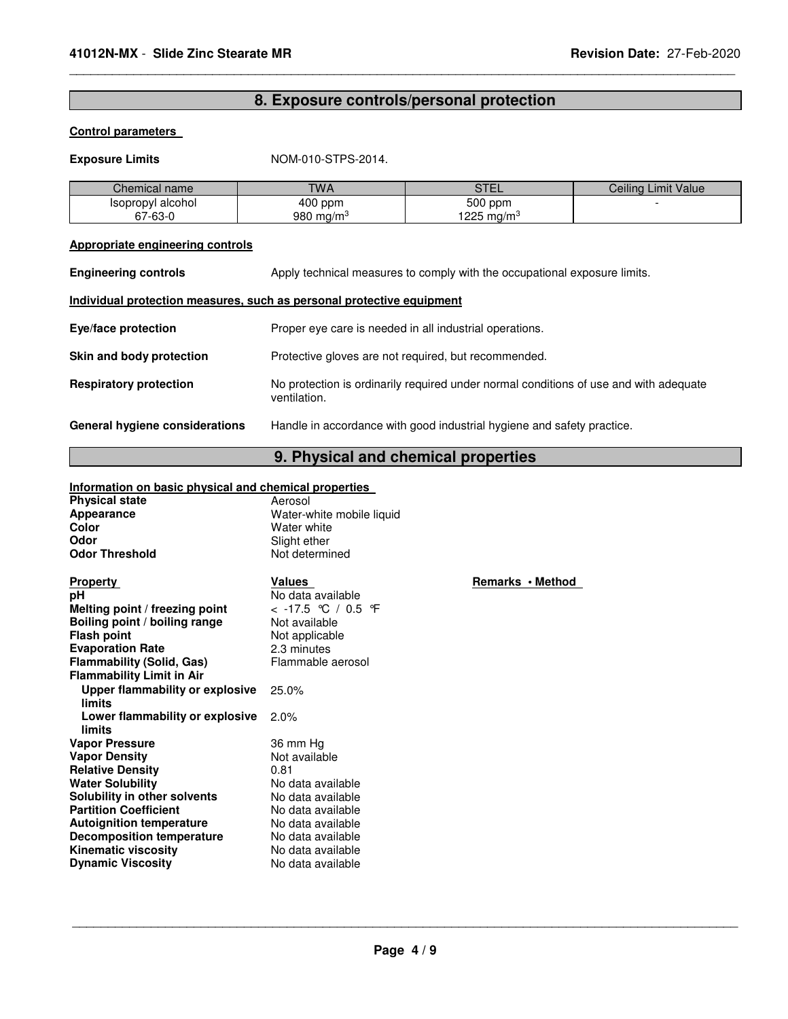### **8. Exposure controls/personal protection**

\_\_\_\_\_\_\_\_\_\_\_\_\_\_\_\_\_\_\_\_\_\_\_\_\_\_\_\_\_\_\_\_\_\_\_\_\_\_\_\_\_\_\_\_\_\_\_\_\_\_\_\_\_\_\_\_\_\_\_\_\_\_\_\_\_\_\_\_\_\_\_\_\_\_\_\_\_\_\_\_\_\_\_\_\_\_\_\_\_\_\_\_\_

### **Control parameters**

### **Exposure Limits** NOM-010-STPS-2014.

| Chemical name     | <b>TWA</b>   | $\sim$ $\sim$ $\sim$<br>--- | Ceilina<br>Limit Value |
|-------------------|--------------|-----------------------------|------------------------|
| Isopropyl alcohol | $400$ ppm    | 500 ppm                     |                        |
| 67-63-0           | 980 mg/m $3$ | 225<br>ma/m <sup>3</sup>    |                        |

### **Appropriate engineering controls**

| <b>Engineering controls</b>                                           | Apply technical measures to comply with the occupational exposure limits.                             |
|-----------------------------------------------------------------------|-------------------------------------------------------------------------------------------------------|
| Individual protection measures, such as personal protective equipment |                                                                                                       |
| <b>Eye/face protection</b>                                            | Proper eye care is needed in all industrial operations.                                               |
| Skin and body protection                                              | Protective gloves are not required, but recommended.                                                  |
| <b>Respiratory protection</b>                                         | No protection is ordinarily required under normal conditions of use and with adequate<br>ventilation. |
| General hygiene considerations                                        | Handle in accordance with good industrial hygiene and safety practice.                                |

## **9. Physical and chemical properties**

## **Information on basic physical and chemical properties**

| <b>Physical state</b><br>Appearance<br>Color<br>Odor<br><b>Odor Threshold</b> | Aerosol<br>Water-white mobile liquid<br>Water white<br>Slight ether<br>Not determined |     |
|-------------------------------------------------------------------------------|---------------------------------------------------------------------------------------|-----|
|                                                                               |                                                                                       |     |
| <b>Property</b>                                                               | Values                                                                                | Rer |
| рH                                                                            | No data available                                                                     |     |
| Melting point / freezing point                                                | < -17.5 ℃ / 0.5 ℉                                                                     |     |
| Boiling point / boiling range                                                 | Not available                                                                         |     |
| <b>Flash point</b>                                                            | Not applicable                                                                        |     |
| <b>Evaporation Rate</b>                                                       | 2.3 minutes                                                                           |     |
| <b>Flammability (Solid, Gas)</b>                                              | Flammable aerosol                                                                     |     |
| <b>Flammability Limit in Air</b>                                              |                                                                                       |     |
| Upper flammability or explosive                                               | 25.0%                                                                                 |     |
| limits                                                                        |                                                                                       |     |
| Lower flammability or explosive                                               | 2.0%                                                                                  |     |
| limits                                                                        |                                                                                       |     |
| <b>Vapor Pressure</b>                                                         | 36 mm Hg                                                                              |     |
| <b>Vapor Density</b>                                                          | Not available<br>0.81                                                                 |     |
| <b>Relative Density</b>                                                       | No data available                                                                     |     |
| <b>Water Solubility</b>                                                       |                                                                                       |     |
| Solubility in other solvents<br><b>Partition Coefficient</b>                  | No data available                                                                     |     |
|                                                                               | No data available                                                                     |     |
| <b>Autoignition temperature</b>                                               | No data available<br>No data available                                                |     |
| <b>Decomposition temperature</b><br><b>Kinematic viscosity</b>                | No data available                                                                     |     |
| <b>Dynamic Viscosity</b>                                                      | No data available                                                                     |     |
|                                                                               |                                                                                       |     |

**Property · Method**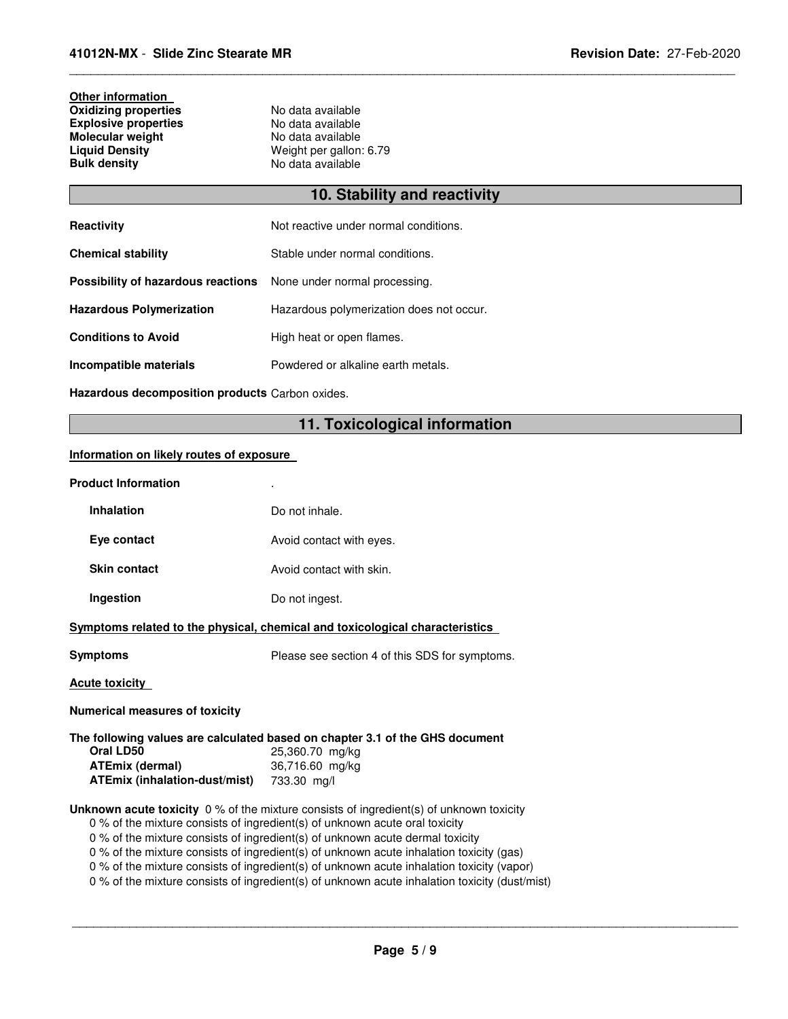## **Other information Oxidizing properties No data available Explosive properties** No data available **Molecular weight<br>Liquid Density**

**Liquid Density Constructs Weight per gallon: 6.79**<br> **Bulk density No data available Bulk density** No data available

## **10. Stability and reactivity**

\_\_\_\_\_\_\_\_\_\_\_\_\_\_\_\_\_\_\_\_\_\_\_\_\_\_\_\_\_\_\_\_\_\_\_\_\_\_\_\_\_\_\_\_\_\_\_\_\_\_\_\_\_\_\_\_\_\_\_\_\_\_\_\_\_\_\_\_\_\_\_\_\_\_\_\_\_\_\_\_\_\_\_\_\_\_\_\_\_\_\_\_\_

| <b>Reactivity</b>                  | Not reactive under normal conditions.    |
|------------------------------------|------------------------------------------|
| <b>Chemical stability</b>          | Stable under normal conditions.          |
| Possibility of hazardous reactions | None under normal processing.            |
| <b>Hazardous Polymerization</b>    | Hazardous polymerization does not occur. |
| <b>Conditions to Avoid</b>         | High heat or open flames.                |
| Incompatible materials             | Powdered or alkaline earth metals.       |

**Hazardous decomposition products** Carbon oxides.

### **11. Toxicological information**

### **Information on likely routes of exposure**

| <b>Product Information</b>                                                                                                                                                                                                                                                                                                                                                                                                                                                                                                                              |                                                                                                                    |  |
|---------------------------------------------------------------------------------------------------------------------------------------------------------------------------------------------------------------------------------------------------------------------------------------------------------------------------------------------------------------------------------------------------------------------------------------------------------------------------------------------------------------------------------------------------------|--------------------------------------------------------------------------------------------------------------------|--|
| <b>Inhalation</b>                                                                                                                                                                                                                                                                                                                                                                                                                                                                                                                                       | Do not inhale.                                                                                                     |  |
| Eye contact                                                                                                                                                                                                                                                                                                                                                                                                                                                                                                                                             | Avoid contact with eyes.                                                                                           |  |
| <b>Skin contact</b>                                                                                                                                                                                                                                                                                                                                                                                                                                                                                                                                     | Avoid contact with skin.                                                                                           |  |
| Ingestion                                                                                                                                                                                                                                                                                                                                                                                                                                                                                                                                               | Do not ingest.                                                                                                     |  |
|                                                                                                                                                                                                                                                                                                                                                                                                                                                                                                                                                         | Symptoms related to the physical, chemical and toxicological characteristics                                       |  |
| Symptoms                                                                                                                                                                                                                                                                                                                                                                                                                                                                                                                                                | Please see section 4 of this SDS for symptoms.                                                                     |  |
| <b>Acute toxicity</b>                                                                                                                                                                                                                                                                                                                                                                                                                                                                                                                                   |                                                                                                                    |  |
| <b>Numerical measures of toxicity</b>                                                                                                                                                                                                                                                                                                                                                                                                                                                                                                                   |                                                                                                                    |  |
| Oral LD50<br>ATEmix (dermal)<br>ATEmix (inhalation-dust/mist) 733.30 mg/l                                                                                                                                                                                                                                                                                                                                                                                                                                                                               | The following values are calculated based on chapter 3.1 of the GHS document<br>25,360.70 mg/kg<br>36,716.60 mg/kg |  |
| <b>Unknown acute toxicity</b> 0 % of the mixture consists of ingredient(s) of unknown toxicity<br>0 % of the mixture consists of ingredient(s) of unknown acute oral toxicity<br>0 % of the mixture consists of ingredient(s) of unknown acute dermal toxicity<br>0 % of the mixture consists of ingredient(s) of unknown acute inhalation toxicity (gas)<br>0 % of the mixture consists of ingredient(s) of unknown acute inhalation toxicity (vapor)<br>0 % of the mixture consists of ingredient(s) of unknown acute inhalation toxicity (dust/mist) |                                                                                                                    |  |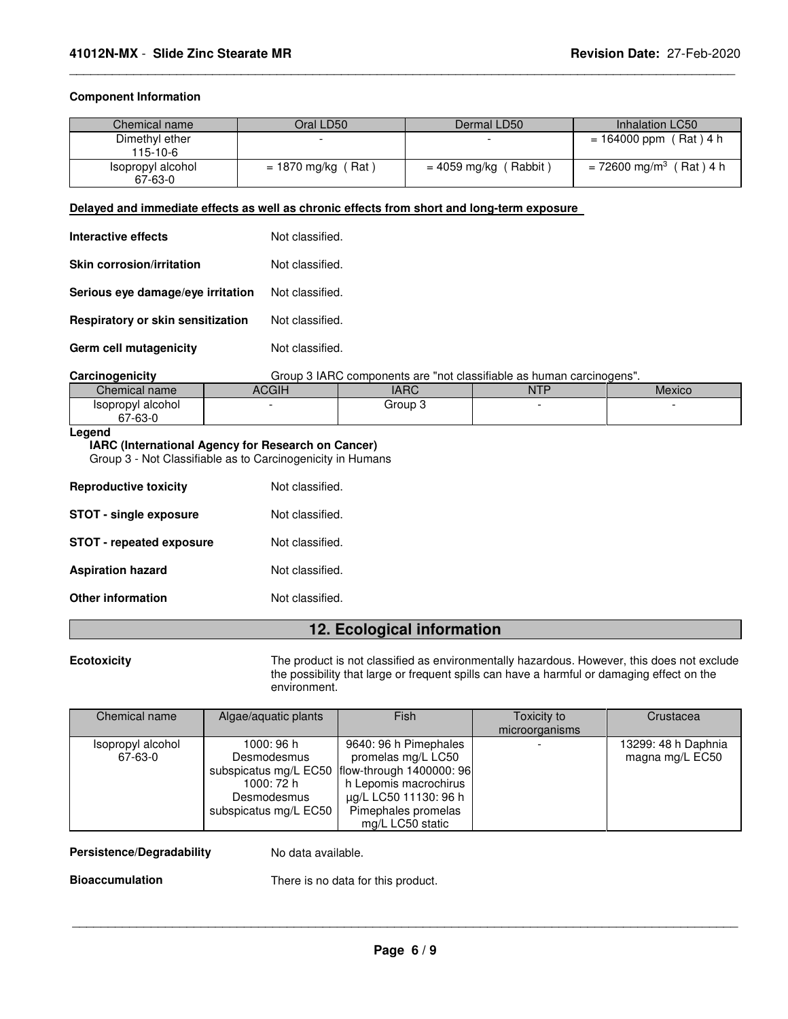### **Component Information**

| Chemical name                | Oral LD50 '           | Dermal LD50                  | Inhalation LC50                       |
|------------------------------|-----------------------|------------------------------|---------------------------------------|
| Dimethyl ether<br>115-10-6   |                       |                              | $= 164000$ ppm (Rat) 4 h              |
| Isopropyl alcohol<br>67-63-0 | (Rat)<br>= 1870 mg/kg | (Rabbit)<br>$= 4059$ mg/kg ( | $= 72600$ mg/m <sup>3</sup> (Rat) 4 h |

\_\_\_\_\_\_\_\_\_\_\_\_\_\_\_\_\_\_\_\_\_\_\_\_\_\_\_\_\_\_\_\_\_\_\_\_\_\_\_\_\_\_\_\_\_\_\_\_\_\_\_\_\_\_\_\_\_\_\_\_\_\_\_\_\_\_\_\_\_\_\_\_\_\_\_\_\_\_\_\_\_\_\_\_\_\_\_\_\_\_\_\_\_

#### **Delayed and immediate effects as well as chronic effects from short and long-term exposure**

| <b>Interactive effects</b>        | Not classified. |
|-----------------------------------|-----------------|
| <b>Skin corrosion/irritation</b>  | Not classified. |
| Serious eve damage/eve irritation | Not classified. |
| Respiratory or skin sensitization | Not classified. |
| Germ cell mutagenicity            | Not classified. |

**Carcinogenicity** Group 3 IARC components are "not classifiable as human carcinogens".

| Chemical name                                   | $\cap$<br>nuull | $\overline{A}$<br>IAI | <b>NTF</b> | <b>Mexico</b> |
|-------------------------------------------------|-----------------|-----------------------|------------|---------------|
| alcohol<br>Isopropyl<br>~-<br>$\sim$<br>ა∕-63-⊓ |                 | Group :<br>л.         |            |               |

### **Legend**

### **IARC (International Agency for Research on Cancer)**

Group 3 - Not Classifiable as to Carcinogenicity in Humans

| <b>Reproductive toxicity</b>    | Not classified. |
|---------------------------------|-----------------|
| <b>STOT - single exposure</b>   | Not classified. |
| <b>STOT - repeated exposure</b> | Not classified. |
| <b>Aspiration hazard</b>        | Not classified. |
| <b>Other information</b>        | Not classified. |

### **12. Ecological information**

**Ecotoxicity** The product is not classified as environmentally hazardous. However, this does not exclude the possibility that large or frequent spills can have a harmful or damaging effect on the environment.

| Chemical name     | Algae/aquatic plants  | Fish                                             | Toxicity to    | Crustacea           |
|-------------------|-----------------------|--------------------------------------------------|----------------|---------------------|
|                   |                       |                                                  | microorganisms |                     |
| Isopropyl alcohol | 1000: 96 h            | 9640: 96 h Pimephales                            |                | 13299: 48 h Daphnia |
| 67-63-0           | Desmodesmus           | promelas mg/L LC50                               |                | magna mg/L EC50     |
|                   |                       | subspicatus mg/L EC50   flow-through 1400000: 96 |                |                     |
|                   | 1000: 72 h            | h Lepomis macrochirus                            |                |                     |
|                   | Desmodesmus           | μg/L LC50 11130: 96 h                            |                |                     |
|                   | subspicatus mg/L EC50 | Pimephales promelas                              |                |                     |
|                   |                       | mg/L LC50 static                                 |                |                     |

### Persistence/Degradability No data available.

**Bioaccumulation** There is no data for this product.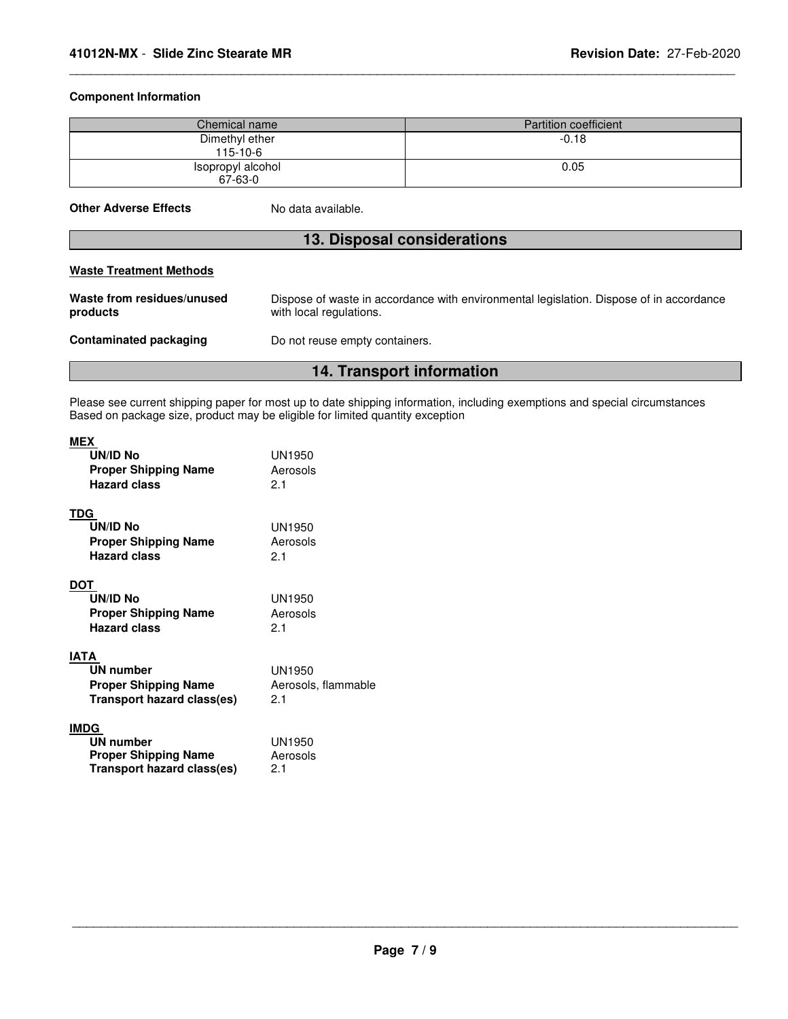### **Component Information**

| Chemical name                | Partition coefficient |
|------------------------------|-----------------------|
| Dimethyl ether<br>$115-10-6$ | $-0.18$               |
| Isopropyl alcohol<br>67-63-0 | 0.05                  |

\_\_\_\_\_\_\_\_\_\_\_\_\_\_\_\_\_\_\_\_\_\_\_\_\_\_\_\_\_\_\_\_\_\_\_\_\_\_\_\_\_\_\_\_\_\_\_\_\_\_\_\_\_\_\_\_\_\_\_\_\_\_\_\_\_\_\_\_\_\_\_\_\_\_\_\_\_\_\_\_\_\_\_\_\_\_\_\_\_\_\_\_\_

| <b>Other Adverse Effects</b> |  |
|------------------------------|--|
|                              |  |

**S** No data available.

### **13. Disposal considerations**

|                                        | 14. Transport information                                                                                          |
|----------------------------------------|--------------------------------------------------------------------------------------------------------------------|
| <b>Contaminated packaging</b>          | Do not reuse empty containers.                                                                                     |
| Waste from residues/unused<br>products | Dispose of waste in accordance with environmental legislation. Dispose of in accordance<br>with local regulations. |
| <b>Waste Treatment Methods</b>         |                                                                                                                    |

Please see current shipping paper for most up to date shipping information, including exemptions and special circumstances Based on package size, product may be eligible for limited quantity exception

| <b>MEX</b><br>UN/ID No<br><b>Proper Shipping Name</b><br><b>Hazard class</b>          | UN1950<br>Aerosols<br>21             |
|---------------------------------------------------------------------------------------|--------------------------------------|
| TDG<br>UN/ID No<br><b>Proper Shipping Name</b><br><b>Hazard class</b>                 | UN1950<br>Aerosols<br>2.1            |
| DOT<br>UN/ID No<br><b>Proper Shipping Name</b><br><b>Hazard class</b>                 | UN1950<br>Aerosols<br>2.1            |
| IATA<br>UN number<br><b>Proper Shipping Name</b><br>Transport hazard class(es)        | UN1950<br>Aerosols, flammable<br>2.1 |
| <b>IMDG</b><br>UN number<br><b>Proper Shipping Name</b><br>Transport hazard class(es) | UN1950<br>Aerosols<br>2.1            |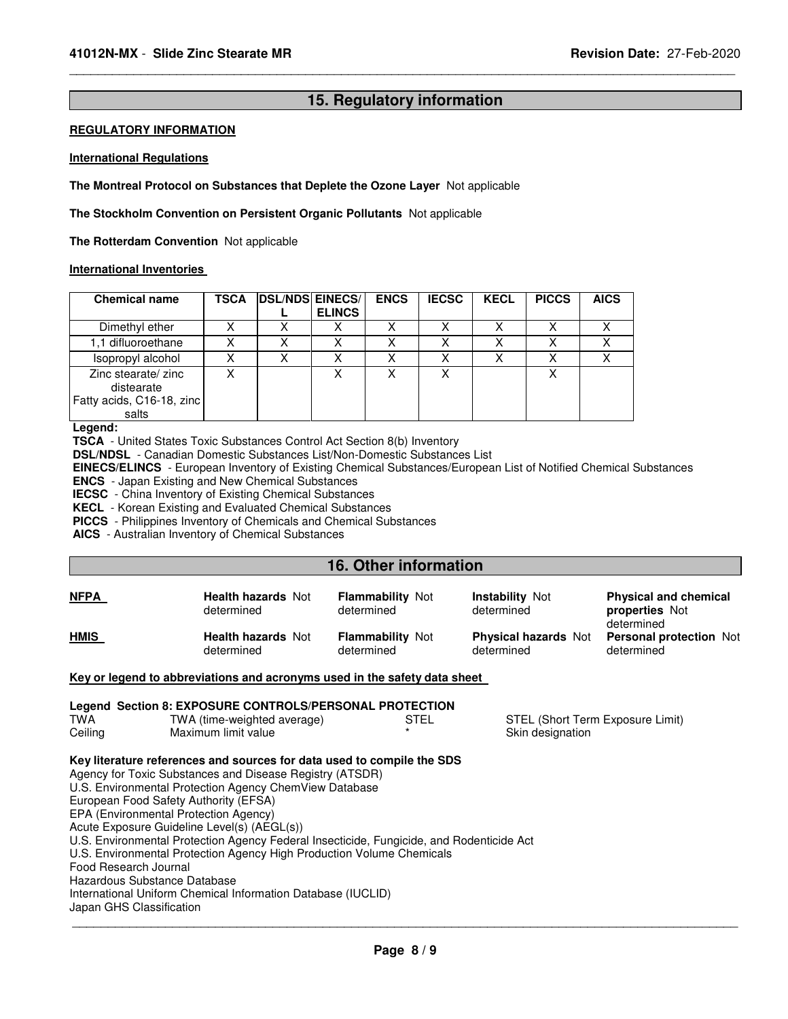### **15. Regulatory information**

\_\_\_\_\_\_\_\_\_\_\_\_\_\_\_\_\_\_\_\_\_\_\_\_\_\_\_\_\_\_\_\_\_\_\_\_\_\_\_\_\_\_\_\_\_\_\_\_\_\_\_\_\_\_\_\_\_\_\_\_\_\_\_\_\_\_\_\_\_\_\_\_\_\_\_\_\_\_\_\_\_\_\_\_\_\_\_\_\_\_\_\_\_

### **REGULATORY INFORMATION**

#### **International Regulations**

**The Montreal Protocol on Substances that Deplete the Ozone Layer** Not applicable

**The Stockholm Convention on Persistent Organic Pollutants** Not applicable

**The Rotterdam Convention** Not applicable

### **International Inventories**

| <b>Chemical name</b>                                                    | <b>TSCA</b> | <b>DSL/NDS EINECS/</b> | <b>ELINCS</b> | <b>ENCS</b> | <b>IECSC</b> | <b>KECL</b> | <b>PICCS</b> | <b>AICS</b> |
|-------------------------------------------------------------------------|-------------|------------------------|---------------|-------------|--------------|-------------|--------------|-------------|
| Dimethyl ether                                                          |             | х                      |               | Χ           | Χ            |             | Χ            |             |
| 1.1 difluoroethane                                                      |             | X                      |               |             |              |             |              |             |
| Isopropyl alcohol                                                       |             | Χ                      |               |             | x            |             | Χ            |             |
| Zinc stearate/ zinc<br>distearate<br>Fatty acids, C16-18, zinc<br>salts |             |                        |               | Χ           | x            |             | Χ            |             |

#### **Legend:**

**TSCA** - United States Toxic Substances Control Act Section 8(b) Inventory

**DSL/NDSL** - Canadian Domestic Substances List/Non-Domestic Substances List

**EINECS/ELINCS** - European Inventory of Existing Chemical Substances/European List of Notified Chemical Substances

**ENCS** - Japan Existing and New Chemical Substances

**IECSC** - China Inventory of Existing Chemical Substances

**KECL** - Korean Existing and Evaluated Chemical Substances

**PICCS** - Philippines Inventory of Chemicals and Chemical Substances

**AICS** - Australian Inventory of Chemical Substances

### **16. Other information**

| <b>NFPA</b>                                                                                                                                                                                                                                                                                                                                                                                                                                                                                                                                                                                                                                             | <b>Health hazards Not</b><br>determined                                   | <b>Flammability Not</b><br>determined | <b>Instability Not</b><br>determined      | <b>Physical and chemical</b><br><b>properties</b> Not<br>determined |  |  |
|---------------------------------------------------------------------------------------------------------------------------------------------------------------------------------------------------------------------------------------------------------------------------------------------------------------------------------------------------------------------------------------------------------------------------------------------------------------------------------------------------------------------------------------------------------------------------------------------------------------------------------------------------------|---------------------------------------------------------------------------|---------------------------------------|-------------------------------------------|---------------------------------------------------------------------|--|--|
| <b>HMIS</b>                                                                                                                                                                                                                                                                                                                                                                                                                                                                                                                                                                                                                                             | <b>Health hazards Not</b><br>determined                                   | <b>Flammability Not</b><br>determined | <b>Physical hazards Not</b><br>determined | <b>Personal protection Not</b><br>determined                        |  |  |
|                                                                                                                                                                                                                                                                                                                                                                                                                                                                                                                                                                                                                                                         | Key or legend to abbreviations and acronyms used in the safety data sheet |                                       |                                           |                                                                     |  |  |
| Legend Section 8: EXPOSURE CONTROLS/PERSONAL PROTECTION<br>TWA<br>TWA (time-weighted average)<br>STEL (Short Term Exposure Limit)<br>STEL<br>Maximum limit value<br>Skin designation<br>Ceiling                                                                                                                                                                                                                                                                                                                                                                                                                                                         |                                                                           |                                       |                                           |                                                                     |  |  |
| Key literature references and sources for data used to compile the SDS<br>Agency for Toxic Substances and Disease Registry (ATSDR)<br>U.S. Environmental Protection Agency ChemView Database<br>European Food Safety Authority (EFSA)<br>EPA (Environmental Protection Agency)<br>Acute Exposure Guideline Level(s) (AEGL(s))<br>U.S. Environmental Protection Agency Federal Insecticide, Fungicide, and Rodenticide Act<br>U.S. Environmental Protection Agency High Production Volume Chemicals<br>Food Research Journal<br>Hazardous Substance Database<br>International Uniform Chemical Information Database (IUCLID)<br>Japan GHS Classification |                                                                           |                                       |                                           |                                                                     |  |  |